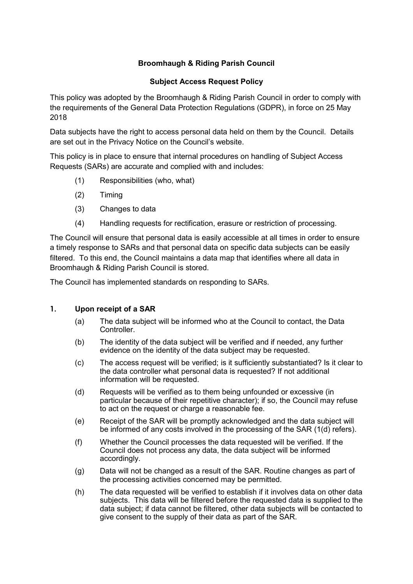# **Broomhaugh & Riding Parish Council**

## **Subject Access Request Policy**

This policy was adopted by the Broomhaugh & Riding Parish Council in order to comply with the requirements of the General Data Protection Regulations (GDPR), in force on 25 May 2018

Data subjects have the right to access personal data held on them by the Council. Details are set out in the Privacy Notice on the Council's website.

This policy is in place to ensure that internal procedures on handling of Subject Access Requests (SARs) are accurate and complied with and includes:

- (1) Responsibilities (who, what)
- (2) Timing
- (3) Changes to data
- (4) Handling requests for rectification, erasure or restriction of processing.

The Council will ensure that personal data is easily accessible at all times in order to ensure a timely response to SARs and that personal data on specific data subjects can be easily filtered. To this end, the Council maintains a data map that identifies where all data in Broomhaugh & Riding Parish Council is stored.

The Council has implemented standards on responding to SARs.

### **1. Upon receipt of a SAR**

- (a) The data subject will be informed who at the Council to contact, the Data Controller.
- (b) The identity of the data subject will be verified and if needed, any further evidence on the identity of the data subject may be requested.
- (c) The access request will be verified; is it sufficiently substantiated? Is it clear to the data controller what personal data is requested? If not additional information will be requested.
- (d) Requests will be verified as to them being unfounded or excessive (in particular because of their repetitive character); if so, the Council may refuse to act on the request or charge a reasonable fee.
- (e) Receipt of the SAR will be promptly acknowledged and the data subject will be informed of any costs involved in the processing of the SAR (1(d) refers).
- (f) Whether the Council processes the data requested will be verified. If the Council does not process any data, the data subject will be informed accordingly.
- (g) Data will not be changed as a result of the SAR. Routine changes as part of the processing activities concerned may be permitted.
- (h) The data requested will be verified to establish if it involves data on other data subjects. This data will be filtered before the requested data is supplied to the data subject; if data cannot be filtered, other data subjects will be contacted to give consent to the supply of their data as part of the SAR.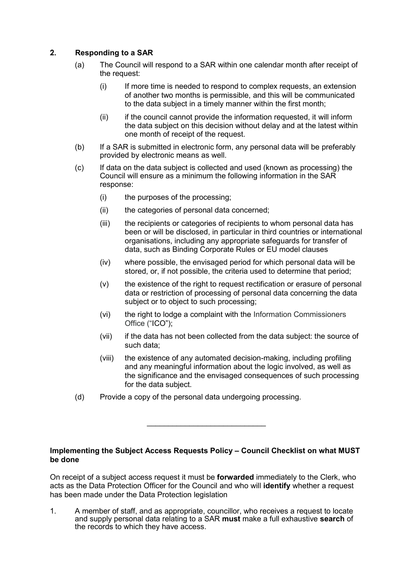## **2. Responding to a SAR**

- (a) The Council will respond to a SAR within one calendar month after receipt of the request:
	- (i) If more time is needed to respond to complex requests, an extension of another two months is permissible, and this will be communicated to the data subject in a timely manner within the first month;
	- (ii) if the council cannot provide the information requested, it will inform the data subject on this decision without delay and at the latest within one month of receipt of the request.
- (b) If a SAR is submitted in electronic form, any personal data will be preferably provided by electronic means as well.
- (c) If data on the data subject is collected and used (known as processing) the Council will ensure as a minimum the following information in the SAR response:
	- (i) the purposes of the processing;
	- (ii) the categories of personal data concerned;
	- (iii) the recipients or categories of recipients to whom personal data has been or will be disclosed, in particular in third countries or international organisations, including any appropriate safeguards for transfer of data, such as Binding Corporate Rules or EU model clauses
	- (iv) where possible, the envisaged period for which personal data will be stored, or, if not possible, the criteria used to determine that period;
	- (v) the existence of the right to request rectification or erasure of personal data or restriction of processing of personal data concerning the data subject or to object to such processing:
	- (vi) the right to lodge a complaint with the Information Commissioners Office ("ICO");
	- (vii) if the data has not been collected from the data subject: the source of such data;
	- (viii) the existence of any automated decision-making, including profiling and any meaningful information about the logic involved, as well as the significance and the envisaged consequences of such processing for the data subject.
- (d) Provide a copy of the personal data undergoing processing.

#### **Implementing the Subject Access Requests Policy – Council Checklist on what MUST be done**

\_\_\_\_\_\_\_\_\_\_\_\_\_\_\_\_\_\_\_\_\_\_\_\_\_\_\_\_

On receipt of a subject access request it must be **forwarded** immediately to the Clerk, who acts as the Data Protection Officer for the Council and who will **identify** whether a request has been made under the Data Protection legislation

1. A member of staff, and as appropriate, councillor, who receives a request to locate and supply personal data relating to a SAR **must** make a full exhaustive **search** of the records to which they have access.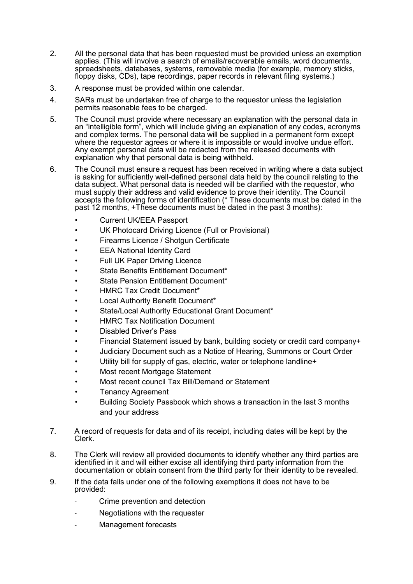- 2. All the personal data that has been requested must be provided unless an exemption applies. (This will involve a search of emails/recoverable emails, word documents, spreadsheets, databases, systems, removable media (for example, memory sticks, floppy disks, CDs), tape recordings, paper records in relevant filing systems.)
- 3. A response must be provided within one calendar.
- 4. SARs must be undertaken free of charge to the requestor unless the legislation permits reasonable fees to be charged.
- 5. The Council must provide where necessary an explanation with the personal data in an "intelligible form", which will include giving an explanation of any codes, acronyms and complex terms. The personal data will be supplied in a permanent form except where the requestor agrees or where it is impossible or would involve undue effort. Any exempt personal data will be redacted from the released documents with explanation why that personal data is being withheld.
- 6. The Council must ensure a request has been received in writing where a data subject is asking for sufficiently well-defined personal data held by the council relating to the data subject. What personal data is needed will be clarified with the requestor, who must supply their address and valid evidence to prove their identity. The Council accepts the following forms of identification (\* These documents must be dated in the past 12 months, +These documents must be dated in the past 3 months):
	- Current UK/EEA Passport
	- UK Photocard Driving Licence (Full or Provisional)
	- Firearms Licence / Shotgun Certificate
	- EEA National Identity Card
	- Full UK Paper Driving Licence
	- State Benefits Entitlement Document\*
	- State Pension Entitlement Document\*
	- HMRC Tax Credit Document\*
	- Local Authority Benefit Document\*
	- State/Local Authority Educational Grant Document\*
	- HMRC Tax Notification Document
	- Disabled Driver's Pass
	- Financial Statement issued by bank, building society or credit card company+
	- Judiciary Document such as a Notice of Hearing, Summons or Court Order
	- Utility bill for supply of gas, electric, water or telephone landline+
	- Most recent Mortgage Statement
	- Most recent council Tax Bill/Demand or Statement
	- Tenancy Agreement
	- Building Society Passbook which shows a transaction in the last 3 months and your address
- 7. A record of requests for data and of its receipt, including dates will be kept by the Clerk.
- 8. The Clerk will review all provided documents to identify whether any third parties are identified in it and will either excise all identifying third party information from the documentation or obtain consent from the third party for their identity to be revealed.
- 9. If the data falls under one of the following exemptions it does not have to be provided:
	- Crime prevention and detection
	- Negotiations with the requester
	- Management forecasts